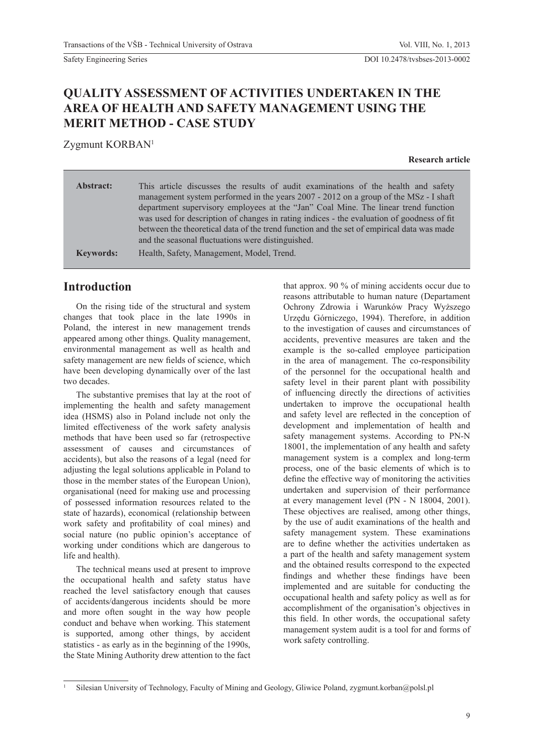# **QUALITY ASSESSMENT OF ACTIVITIES UNDERTAKEN IN THE AREA OF HEALTH AND SAFETY MANAGEMENT USING THE MERIT METHOD - CASE STUDY**

Zygmunt KORBAN1

**Research article**

| Abstract:        | This article discusses the results of audit examinations of the health and safety<br>management system performed in the years 2007 - 2012 on a group of the MSz - I shaft<br>department supervisory employees at the "Jan" Coal Mine. The linear trend function<br>was used for description of changes in rating indices - the evaluation of goodness of fit<br>between the theoretical data of the trend function and the set of empirical data was made<br>and the seasonal fluctuations were distinguished. |
|------------------|----------------------------------------------------------------------------------------------------------------------------------------------------------------------------------------------------------------------------------------------------------------------------------------------------------------------------------------------------------------------------------------------------------------------------------------------------------------------------------------------------------------|
| <b>Keywords:</b> | Health, Safety, Management, Model, Trend.                                                                                                                                                                                                                                                                                                                                                                                                                                                                      |

## **Introduction**

On the rising tide of the structural and system changes that took place in the late 1990s in Poland, the interest in new management trends appeared among other things. Quality management, environmental management as well as health and safety management are new fields of science, which have been developing dynamically over of the last two decades.

The substantive premises that lay at the root of implementing the health and safety management idea (HSMS) also in Poland include not only the limited effectiveness of the work safety analysis methods that have been used so far (retrospective assessment of causes and circumstances of accidents), but also the reasons of a legal (need for adjusting the legal solutions applicable in Poland to those in the member states of the European Union), organisational (need for making use and processing of possessed information resources related to the state of hazards), economical (relationship between work safety and profitability of coal mines) and social nature (no public opinion's acceptance of working under conditions which are dangerous to life and health).

The technical means used at present to improve the occupational health and safety status have reached the level satisfactory enough that causes of accidents/dangerous incidents should be more and more often sought in the way how people conduct and behave when working. This statement is supported, among other things, by accident statistics - as early as in the beginning of the 1990s, the State Mining Authority drew attention to the fact that approx. 90 % of mining accidents occur due to reasons attributable to human nature (Departament Ochrony Zdrowia i Warunków Pracy Wyższego Urzędu Górniczego, 1994). Therefore, in addition to the investigation of causes and circumstances of accidents, preventive measures are taken and the example is the so-called employee participation in the area of management. The co-responsibility of the personnel for the occupational health and safety level in their parent plant with possibility of influencing directly the directions of activities undertaken to improve the occupational health and safety level are reflected in the conception of development and implementation of health and safety management systems. According to PN-N 18001, the implementation of any health and safety management system is a complex and long-term process, one of the basic elements of which is to define the effective way of monitoring the activities undertaken and supervision of their performance at every management level (PN - N 18004, 2001). These objectives are realised, among other things, by the use of audit examinations of the health and safety management system. These examinations are to define whether the activities undertaken as a part of the health and safety management system and the obtained results correspond to the expected findings and whether these findings have been implemented and are suitable for conducting the occupational health and safety policy as well as for accomplishment of the organisation's objectives in this field. In other words, the occupational safety management system audit is a tool for and forms of work safety controlling.

<sup>1</sup> Silesian University of Technology, Faculty of Mining and Geology, Gliwice Poland, zygmunt.korban@polsl.pl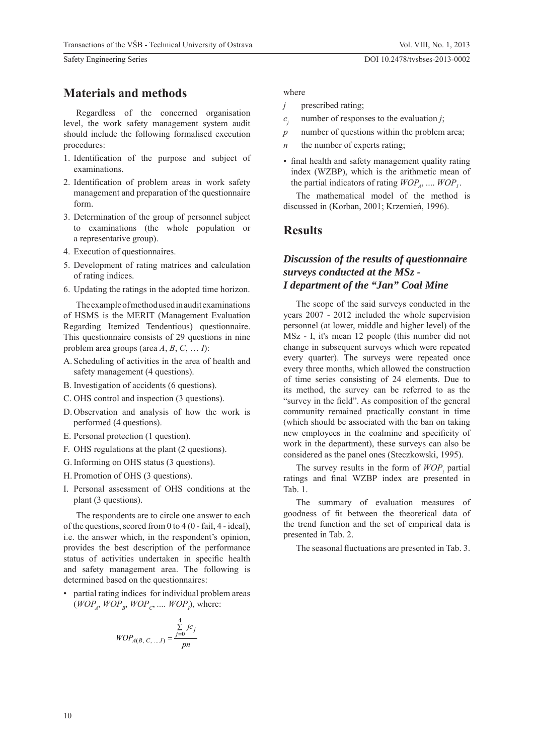Regardless of the concerned organisation level, the work safety management system audit should include the following formalised execution procedures:

- 1. Identification of the purpose and subject of examinations.
- 2. Identification of problem areas in work safety management and preparation of the questionnaire form.
- 3. Determination of the group of personnel subject to examinations (the whole population or a representative group).
- 4. Execution of questionnaires.
- 5. Development of rating matrices and calculation of rating indices.
- 6. Updating the ratings in the adopted time horizon.

The example of method used in audit examinations of HSMS is the MERIT (Management Evaluation Regarding Itemized Tendentious) questionnaire. This questionnaire consists of 29 questions in nine problem area groups (area  $A, B, C, \ldots I$ ):

- A. Scheduling of activities in the area of health and safety management (4 questions).
- B. Investigation of accidents (6 questions).
- C. OHS control and inspection (3 questions).
- D. Observation and analysis of how the work is performed (4 questions).
- E. Personal protection (1 question).
- F. OHS regulations at the plant (2 questions).
- G. Informing on OHS status (3 questions).
- H. Promotion of OHS (3 questions).
- I. Personal assessment of OHS conditions at the plant (3 questions).

The respondents are to circle one answer to each of the questions, scored from  $0$  to  $4$  ( $0$  - fail,  $4$  - ideal), i.e. the answer which, in the respondent's opinion, provides the best description of the performance status of activities undertaken in specific health and safety management area. The following is determined based on the questionnaires:

• partial rating indices for individual problem areas  $(WOP_A, WOP_B, WOP_C, \dots, WOP_I)$ , where:

$$
WOP_{A(B, C, \dots, I)} = \frac{\sum_{j=0}^{4} jc_j}{pn}
$$

where

- *j* prescribed rating;
- $c_{i}$ number of responses to the evaluation *j*;
- *p* number of questions within the problem area;
- *n* the number of experts rating;
- final health and safety management quality rating index (WZBP), which is the arithmetic mean of the partial indicators of rating  $WOP_4$ , ....  $WOP_1$ .

The mathematical model of the method is discussed in (Korban, 2001; Krzemień, 1996).

### **Results**

## *Discussion of the results of questionnaire surveys conducted at the MSz - I department of the "Jan" Coal Mine*

The scope of the said surveys conducted in the years 2007 - 2012 included the whole supervision personnel (at lower, middle and higher level) of the MSz - I, it's mean 12 people (this number did not change in subsequent surveys which were repeated every quarter). The surveys were repeated once every three months, which allowed the construction of time series consisting of 24 elements. Due to its method, the survey can be referred to as the "survey in the field". As composition of the general community remained practically constant in time (which should be associated with the ban on taking new employees in the coalmine and specificity of work in the department), these surveys can also be considered as the panel ones (Steczkowski, 1995).

The survey results in the form of  $WOP_i$  partial ratings and final WZBP index are presented in Tab. 1.

The summary of evaluation measures of goodness of fit between the theoretical data of the trend function and the set of empirical data is presented in Tab. 2.

The seasonal fluctuations are presented in Tab. 3.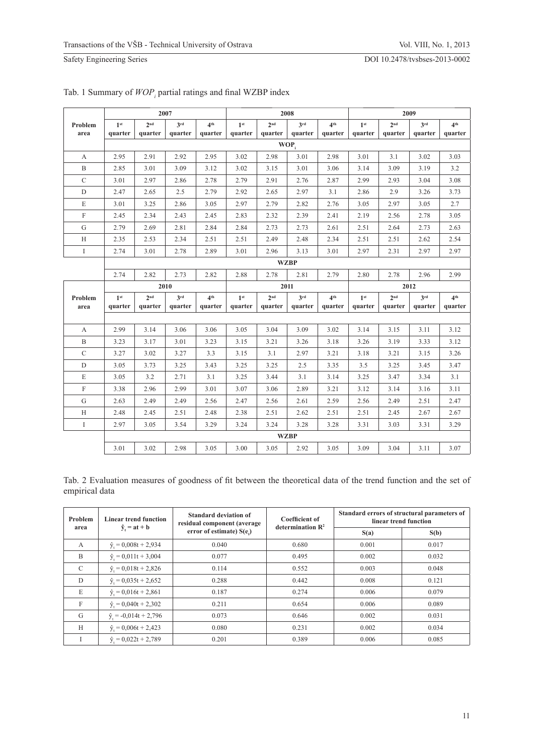|                  | 2007            |                 |                 | 2008            |                 |                 |                 | 2009            |                 |                 |                 |                 |
|------------------|-----------------|-----------------|-----------------|-----------------|-----------------|-----------------|-----------------|-----------------|-----------------|-----------------|-----------------|-----------------|
| Problem          | 1 <sup>st</sup> | 2 <sup>nd</sup> | 3 <sup>rd</sup> | 4 <sup>th</sup> | 1 <sup>st</sup> | 2 <sup>nd</sup> | 3 <sup>rd</sup> | 4 <sup>th</sup> | 1 <sup>st</sup> | 2 <sup>nd</sup> | 3 <sup>rd</sup> | 4 <sup>th</sup> |
| area             | quarter         | quarter         | quarter         | quarter         | quarter         | quarter         | quarter         | quarter         | quarter         | quarter         | quarter         | quarter         |
|                  | WOP,            |                 |                 |                 |                 |                 |                 |                 |                 |                 |                 |                 |
| A                | 2.95            | 2.91            | 2.92            | 2.95            | 3.02            | 2.98            | 3.01            | 2.98            | 3.01            | 3.1             | 3.02            | 3.03            |
| $\, {\bf B}$     | 2.85            | 3.01            | 3.09            | 3.12            | 3.02            | 3.15            | 3.01            | 3.06            | 3.14            | 3.09            | 3.19            | 3.2             |
| $\mathcal{C}$    | 3.01            | 2.97            | 2.86            | 2.78            | 2.79            | 2.91            | 2.76            | 2.87            | 2.99            | 2.93            | 3.04            | 3.08            |
| D                | 2.47            | 2.65            | 2.5             | 2.79            | 2.92            | 2.65            | 2.97            | 3.1             | 2.86            | 2.9             | 3.26            | 3.73            |
| $\mathbf E$      | 3.01            | 3.25            | 2.86            | 3.05            | 2.97            | 2.79            | 2.82            | 2.76            | 3.05            | 2.97            | 3.05            | 2.7             |
| $\rm F$          | 2.45            | 2.34            | 2.43            | 2.45            | 2.83            | 2.32            | 2.39            | 2.41            | 2.19            | 2.56            | 2.78            | 3.05            |
| G                | 2.79            | 2.69            | 2.81            | 2.84            | 2.84            | 2.73            | 2.73            | 2.61            | 2.51            | 2.64            | 2.73            | 2.63            |
| H                | 2.35            | 2.53            | 2.34            | 2.51            | 2.51            | 2.49            | 2.48            | 2.34            | 2.51            | 2.51            | 2.62            | 2.54            |
| $\mathbf I$      | 2.74            | 3.01            | 2.78            | 2.89            | 3.01            | 2.96            | 3.13            | 3.01            | 2.97            | 2.31            | 2.97            | 2.97            |
|                  |                 | <b>WZBP</b>     |                 |                 |                 |                 |                 |                 |                 |                 |                 |                 |
|                  | 2.74            | 2.82            | 2.73            | 2.82            | 2.88            | 2.78            | 2.81            | 2.79            | 2.80            | 2.78            | 2.96            | 2.99            |
|                  |                 | 2010            |                 |                 | 2011            |                 |                 |                 | 2012            |                 |                 |                 |
| Problem          | 1 <sup>st</sup> | 2 <sup>nd</sup> | 3 <sup>rd</sup> | 4 <sup>th</sup> | 1 <sup>st</sup> | 2 <sup>nd</sup> | 3 <sup>rd</sup> | 4 <sup>th</sup> | 1 <sup>st</sup> | 2 <sup>nd</sup> | 3 <sup>rd</sup> | 4 <sup>th</sup> |
| area             | quarter         | quarter         | quarter         | quarter         | quarter         | quarter         | quarter         | quarter         | quarter         | quarter         | quarter         | quarter         |
|                  |                 |                 |                 |                 |                 |                 |                 |                 |                 |                 |                 |                 |
| А                | 2.99            | 3.14            | 3.06            | 3.06            | 3.05            | 3.04            | 3.09            | 3.02            | 3.14            | 3.15            | 3.11            | 3.12            |
| $\, {\bf B}$     | 3.23            | 3.17            | 3.01            | 3.23            | 3.15            | 3.21            | 3.26            | 3.18            | 3.26            | 3.19            | 3.33            | 3.12            |
| $\mathbf C$      | 3.27            | 3.02            | 3.27            | 3.3             | 3.15            | 3.1             | 2.97            | 3.21            | 3.18            | 3.21            | 3.15            | 3.26            |
| $\mathbf D$      | 3.05            | 3.73            | 3.25            | 3.43            | 3.25            | 3.25            | 2.5             | 3.35            | 3.5             | 3.25            | 3.45            | 3.47            |
| $\mathbf E$      | 3.05            | 3.2             | 2.71            | 3.1             | 3.25            | 3.44            | 3.1             | 3.14            | 3.25            | 3.47            | 3.34            | 3.1             |
| $\boldsymbol{F}$ | 3.38            | 2.96            | 2.99            | 3.01            | 3.07            | 3.06            | 2.89            | 3.21            | 3.12            | 3.14            | 3.16            | 3.11            |
| G                | 2.63            | 2.49            | 2.49            | 2.56            | 2.47            | 2.56            | 2.61            | 2.59            | 2.56            | 2.49            | 2.51            | 2.47            |
| H                | 2.48            | 2.45            | 2.51            | 2.48            | 2.38            | 2.51            | 2.62            | 2.51            | 2.51            | 2.45            | 2.67            | 2.67            |
| $\bf{I}$         | 2.97            | 3.05            | 3.54            | 3.29            | 3.24            | 3.24            | 3.28            | 3.28            | 3.31            | 3.03            | 3.31            | 3.29            |
|                  | <b>WZBP</b>     |                 |                 |                 |                 |                 |                 |                 |                 |                 |                 |                 |
|                  | 3.01            | 3.02            | 2.98            | 3.05            | 3.00            | 3.05            | 2.92            | 3.05            | 3.09            | 3.04            | 3.11            | 3.07            |

#### Tab. 1 Summary of  $WOP$ <sub>*i*</sub> partial ratings and final WZBP index

Tab. 2 Evaluation measures of goodness of fit between the theoretical data of the trend function and the set of empirical data

| Problem<br>area | <b>Linear trend function</b><br>$\hat{y}_t = at + b$ | Standard deviation of<br>residual component (average | <b>Coefficient of</b><br>determination $\mathbb{R}^2$ | Standard errors of structural parameters of<br>linear trend function |       |  |
|-----------------|------------------------------------------------------|------------------------------------------------------|-------------------------------------------------------|----------------------------------------------------------------------|-------|--|
|                 |                                                      | error of estimate) $S(e_i)$                          |                                                       | S(a)                                                                 | S(b)  |  |
| A               | $\hat{y} = 0.008t + 2.934$                           | 0.040                                                | 0.680                                                 | 0.001                                                                | 0.017 |  |
| B               | $\hat{y} = 0.011t + 3.004$                           | 0.077                                                | 0.495                                                 | 0.002                                                                | 0.032 |  |
| $\mathcal{C}$   | $\hat{v} = 0.018t + 2.826$                           | 0.114                                                | 0.552                                                 | 0.003                                                                | 0.048 |  |
| D               | $\hat{y} = 0.035t + 2.652$                           | 0.288                                                | 0.442                                                 | 0.008                                                                | 0.121 |  |
| E               | $\hat{y} = 0.016t + 2.861$                           | 0.187                                                | 0.274                                                 | 0.006                                                                | 0.079 |  |
| F               | $\hat{y} = 0.040t + 2.302$                           | 0.211                                                | 0.654                                                 | 0.006                                                                | 0.089 |  |
| G               | $\hat{y} = -0.014t + 2.796$                          | 0.073                                                | 0.646                                                 | 0.002                                                                | 0.031 |  |
| H               | $\hat{y} = 0.006t + 2.423$                           | 0.080                                                | 0.231                                                 | 0.002                                                                | 0.034 |  |
|                 | $\hat{y} = 0.022t + 2.789$                           | 0.201                                                | 0.389                                                 | 0.006                                                                | 0.085 |  |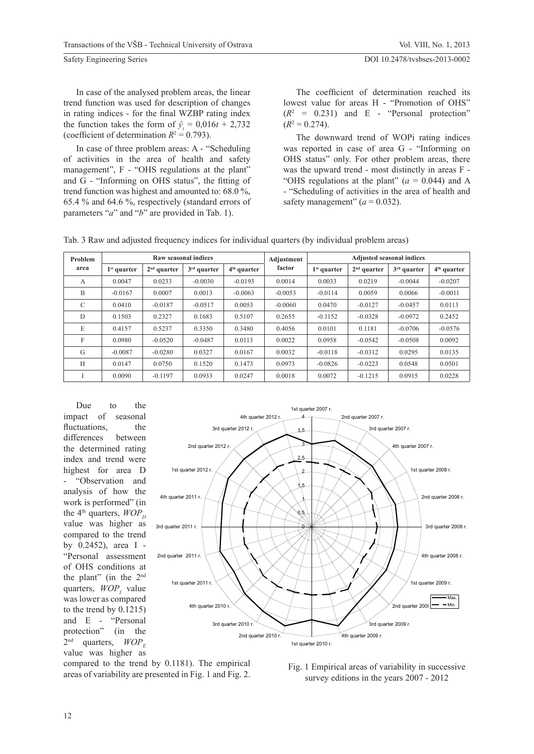In case of the analysed problem areas, the linear trend function was used for description of changes in rating indices - for the final WZBP rating index the function takes the form of  $\hat{y}_t = 0.016t + 2.732$ (coefficient of determination  $R^2 = 0.793$ ).

In case of three problem areas: A - "Scheduling of activities in the area of health and safety management", F - "OHS regulations at the plant" and  $G$  - "Informing on OHS status", the fitting of trend function was highest and amounted to: 68.0 %, 65.4 % and 64.6 %, respectively (standard errors of parameters "*a*" and "*b*" are provided in Tab. 1).

The coefficient of determination reached its lowest value for areas H - "Promotion of OHS"  $(R^2 = 0.231)$  and E - "Personal protection"  $(R^2 = 0.274)$ .

The downward trend of WOPi rating indices was reported in case of area G - "Informing on OHS status" only. For other problem areas, there was the upward trend - most distinctly in areas F - "OHS regulations at the plant"  $(a = 0.044)$  and A - "Scheduling of activities in the area of health and safety management"  $(a = 0.032)$ .

Tab. 3 Raw and adjusted frequency indices for individual quarters (by individual problem areas)

| Problem<br>area |               |               | Raw seasonal indices |               | Adjustment | <b>Adjusted seasonal indices</b> |               |               |               |  |
|-----------------|---------------|---------------|----------------------|---------------|------------|----------------------------------|---------------|---------------|---------------|--|
|                 | $1st$ quarter | $2nd$ quarter | $3rd$ quarter        | $4th$ quarter | factor     | $1st$ quarter                    | $2nd$ quarter | $3rd$ quarter | $4th$ quarter |  |
| A               | 0.0047        | 0.0233        | $-0.0030$            | $-0.0193$     | 0.0014     | 0.0033                           | 0.0219        | $-0.0044$     | $-0.0207$     |  |
| B               | $-0.0167$     | 0.0007        | 0.0013               | $-0.0063$     | $-0.0053$  | $-0.0114$                        | 0.0059        | 0.0066        | $-0.0011$     |  |
| C               | 0.0410        | $-0.0187$     | $-0.0517$            | 0.0053        | $-0.0060$  | 0.0470                           | $-0.0127$     | $-0.0457$     | 0.0113        |  |
| $\mathbf{D}$    | 0.1503        | 0.2327        | 0.1683               | 0.5107        | 0.2655     | $-0.1152$                        | $-0.0328$     | $-0.0972$     | 0.2452        |  |
| E               | 0.4157        | 0.5237        | 0.3350               | 0.3480        | 0.4056     | 0.0101                           | 0.1181        | $-0.0706$     | $-0.0576$     |  |
| $\mathbf{F}$    | 0.0980        | $-0.0520$     | $-0.0487$            | 0.0113        | 0.0022     | 0.0958                           | $-0.0542$     | $-0.0508$     | 0.0092        |  |
| G               | $-0.0087$     | $-0.0280$     | 0.0327               | 0.0167        | 0.0032     | $-0.0118$                        | $-0.0312$     | 0.0295        | 0.0135        |  |
| H               | 0.0147        | 0.0750        | 0.1520               | 0.1473        | 0.0973     | $-0.0826$                        | $-0.0223$     | 0.0548        | 0.0501        |  |
|                 | 0.0090        | $-0.1197$     | 0.0933               | 0.0247        | 0.0018     | 0.0072                           | $-0.1215$     | 0.0915        | 0.0228        |  |

Due to the impact of seasonal fluctuations, the differences between the determined rating index and trend were highest for area D "Observation and analysis of how the work is performed" (in the 4<sup>th</sup> quarters,  $WOP_p$ value was higher as compared to the trend by 0.2452), area I - "Personal assessment of OHS conditions at the plant" (in the 2nd quarters,  $WOP<sub>I</sub>$  value was lower as compared to the trend by 0.1215) and E - "Personal protection" (in the  $2<sup>nd</sup>$  quarters,  $WOP<sub>F</sub>$ value was higher as



compared to the trend by 0.1181). The empirical compared to the trend by 0.1181). The empirical Fig. 1 Empirical areas of variability in successive areas of variability are presented in Fig. 1 and Fig. 2.

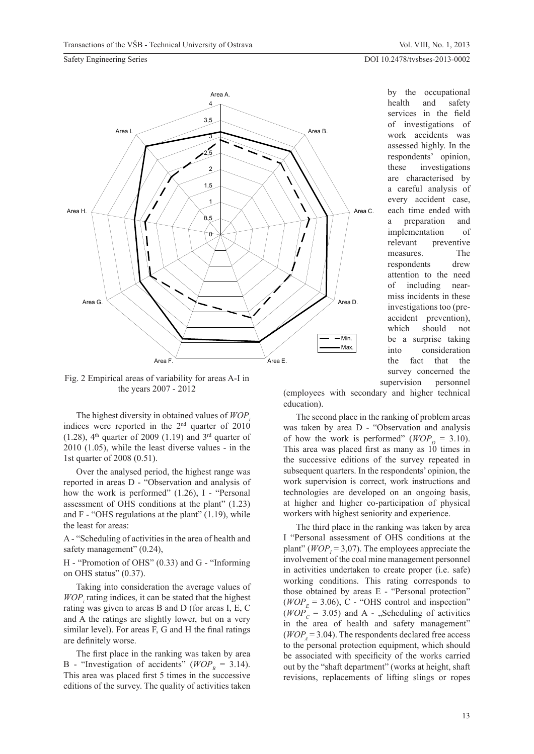by the occupational

#### DOI 10.2478/tvsbses-2013-0002

#### Safety Engineering Series



health and safety services in the field of investigations of work accidents was assessed highly. In the respondents' opinion, these investigations are characterised by a careful analysis of every accident case, each time ended with a preparation and implementation of relevant preventive measures. The respondents drew attention to the need of including nearmiss incidents in these investigations too (preaccident prevention), which should not be a surprise taking into consideration the fact that the survey concerned the supervision personnel

Fig. 2 Empirical areas of variability for areas A-I in the years 2007 - 2012

The highest diversity in obtained values of  $WOP$ indices were reported in the  $2<sup>nd</sup>$  quarter of  $2010$  $(1.28)$ , 4<sup>th</sup> quarter of 2009  $(1.19)$  and 3<sup>rd</sup> quarter of 2010 (1.05), while the least diverse values - in the 1st quarter of 2008 (0.51).

Over the analysed period, the highest range was reported in areas D - "Observation and analysis of how the work is performed" (1.26), I - "Personal assessment of OHS conditions at the plant" (1.23) and  $F - "OHS$  regulations at the plant"  $(1.19)$ , while the least for areas:

A - "Scheduling of activities in the area of health and safety management"  $(0.24)$ ,

H - "Promotion of OHS" (0.33) and G - "Informing on OHS status" (0.37).

Taking into consideration the average values of  $WOP<sub>i</sub>$  rating indices, it can be stated that the highest rating was given to areas B and D (for areas I, E, C and A the ratings are slightly lower, but on a very similar level). For areas  $F$ ,  $G$  and  $H$  the final ratings are definitely worse.

The first place in the ranking was taken by area B - "Investigation of accidents" ( $WOP<sub>n</sub> = 3.14$ ). This area was placed first 5 times in the successive editions of the survey. The quality of activities taken (employees with secondary and higher technical education).

The second place in the ranking of problem areas was taken by area D - "Observation and analysis of how the work is performed" ( $WOP_p = 3.10$ ). This area was placed first as many as 10 times in the successive editions of the survey repeated in subsequent quarters. In the respondents' opinion, the work supervision is correct, work instructions and technologies are developed on an ongoing basis, at higher and higher co-participation of physical workers with highest seniority and experience.

The third place in the ranking was taken by area I "Personal assessment of OHS conditions at the plant" ( $WOP_1 = 3.07$ ). The employees appreciate the involvement of the coal mine management personnel in activities undertaken to create proper (i.e. safe) working conditions. This rating corresponds to those obtained by areas E - "Personal protection" ( $WOP_E$  = 3.06), C - "OHS control and inspection"<br>( $WOP_C$  = 3.05) and A - "Scheduling of activities  $(4) = 3.05$ ) and A - "Scheduling of activities in the area of health and safety management"  $(WOP<sub>i</sub> = 3.04)$ . The respondents declared free access to the personal protection equipment, which should be associated with specificity of the works carried out by the "shaft department" (works at height, shaft revisions, replacements of lifting slings or ropes